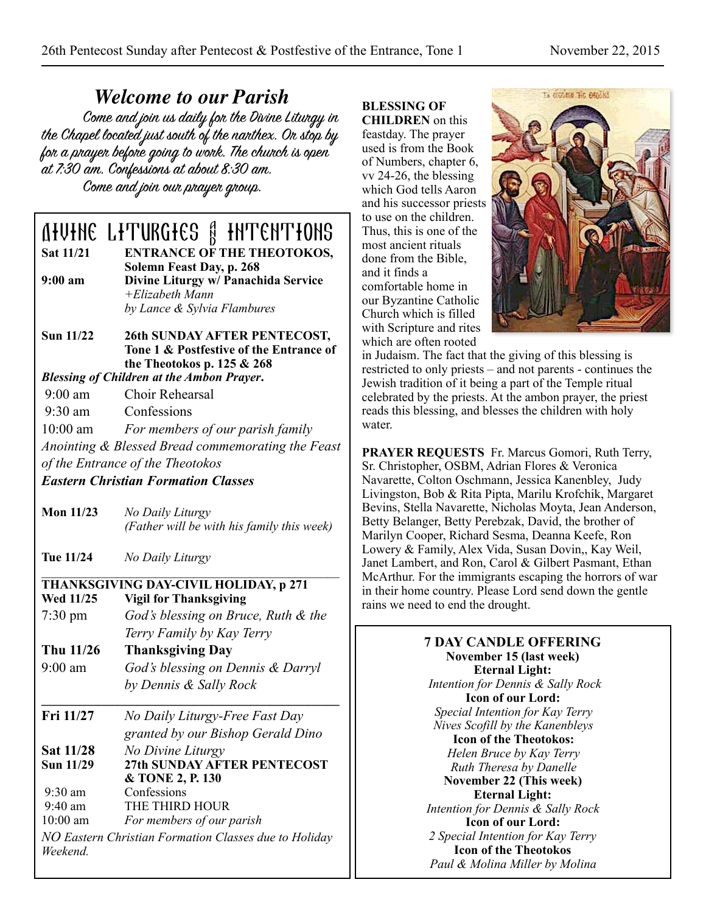*Welcome to our Parish* the Chapel located just south of the narthex. On stop by for a prayer before going to work. The church is open at 7:30 am. Confessions at about 8:30 am. Come and join our prayer group.

# **OFUTHE LITURGIES & INTENTIONS**

**ENTRANCE OF THE THEOTOKOS,** 

- **Solemn Feast Day, p. 268**<br>**9:00 am Divine Liturgy w/ Panach 9:00 am Divine Liturgy w/ Panachida Service** *+Elizabeth Mann by Lance & Sylvia Flambures*
- **Sun 11/22 26th SUNDAY AFTER PENTECOST, Tone 1 & Postfestive of the Entrance of the Theotokos p. 125 & 268**

*Blessing of Children at the Ambon Prayer***.** 

- 9:00 am Choir Rehearsal
- 9:30 am Confessions

10:00 am *For members of our parish family* 

*Anointing & Blessed Bread commemorating the Feast of the Entrance of the Theotokos*

*Eastern Christian Formation Classes* 

- 
- **Mon 11/23** *No Daily Liturgy (Father will be with his family this week)*
- **Tue 11/24** *No Daily Liturgy*

# $\mathcal{L} = \{ \mathcal{L} \mathcal{L} \mathcal{L} \mathcal{L} \mathcal{L} \mathcal{L} \mathcal{L} \mathcal{L} \mathcal{L} \mathcal{L} \mathcal{L} \mathcal{L} \mathcal{L} \mathcal{L} \mathcal{L} \mathcal{L} \mathcal{L} \mathcal{L} \mathcal{L} \mathcal{L} \mathcal{L} \mathcal{L} \mathcal{L} \mathcal{L} \mathcal{L} \mathcal{L} \mathcal{L} \mathcal{L} \mathcal{L} \mathcal{L} \mathcal{L} \mathcal{L} \mathcal{L} \mathcal{L} \mathcal{L} \$ **THANKSGIVING DAY-CIVIL HOLIDAY, p 271**

- **Wigil for Thanksgiving** 7:30 pm *God's blessing on Bruce, Ruth & the Terry Family by Kay Terry*
- **Thu 11/26 Thanksgiving Day**  9:00 am *God's blessing on Dennis & Darryl* 
	- *by Dennis & Sally Rock*
- **\_\_\_\_\_\_\_\_\_\_\_\_\_\_\_\_\_\_\_\_\_\_\_\_\_\_\_\_\_\_\_\_\_\_\_\_\_\_\_\_\_\_\_\_\_\_\_ Fri 11/27** *No Daily Liturgy-Free Fast Day granted by our Bishop Gerald Dino*
- **Sat 11/28** *No Divine Liturgy* **Sun 11/29 27th SUNDAY AFTER PENTECOST & TONE 2, P. 130**<br>9:30 am Confessions 9:30 am Confessions<br>9:40 am THE THIRD THE THIRD HOUR 10:00 am *For members of our parish NO Eastern Christian Formation Classes due to Holiday*
- *Weekend.*

# **BLESSING OF**

**CHILDREN** on this feastday. The prayer used is from the Book of Numbers, chapter 6, vv 24-26, the blessing which God tells Aaron and his successor priests to use on the children. Thus, this is one of the most ancient rituals done from the Bible, and it finds a comfortable home in our Byzantine Catholic Church which is filled with Scripture and rites which are often rooted



in Judaism. The fact that the giving of this blessing is restricted to only priests – and not parents - continues the Jewish tradition of it being a part of the Temple ritual celebrated by the priests. At the ambon prayer, the priest reads this blessing, and blesses the children with holy water.

**PRAYER REQUESTS** Fr. Marcus Gomori, Ruth Terry, Sr. Christopher, OSBM, Adrian Flores & Veronica Navarette, Colton Oschmann, Jessica Kanenbley, Judy Livingston, Bob & Rita Pipta, Marilu Krofchik, Margaret Bevins, Stella Navarette, Nicholas Moyta, Jean Anderson, Betty Belanger, Betty Perebzak, David, the brother of Marilyn Cooper, Richard Sesma, Deanna Keefe, Ron Lowery & Family, Alex Vida, Susan Dovin,, Kay Weil, Janet Lambert, and Ron, Carol & Gilbert Pasmant, Ethan McArthur. For the immigrants escaping the horrors of war in their home country. Please Lord send down the gentle rains we need to end the drought.

> **7 DAY CANDLE OFFERING November 15 (last week) Eternal Light:**   *Intention for Dennis & Sally Rock*  **Icon of our Lord:**  *Special Intention for Kay Terry Nives Scofill by the Kanenbleys*  **Icon of the Theotokos:**  *Helen Bruce by Kay Terry Ruth Theresa by Danelle*  **November 22 (This week) Eternal Light:**  *Intention for Dennis & Sally Rock*  **Icon of our Lord:**  *2 Special Intention for Kay Terry*  **Icon of the Theotokos**  *Paul & Molina Miller by Molina*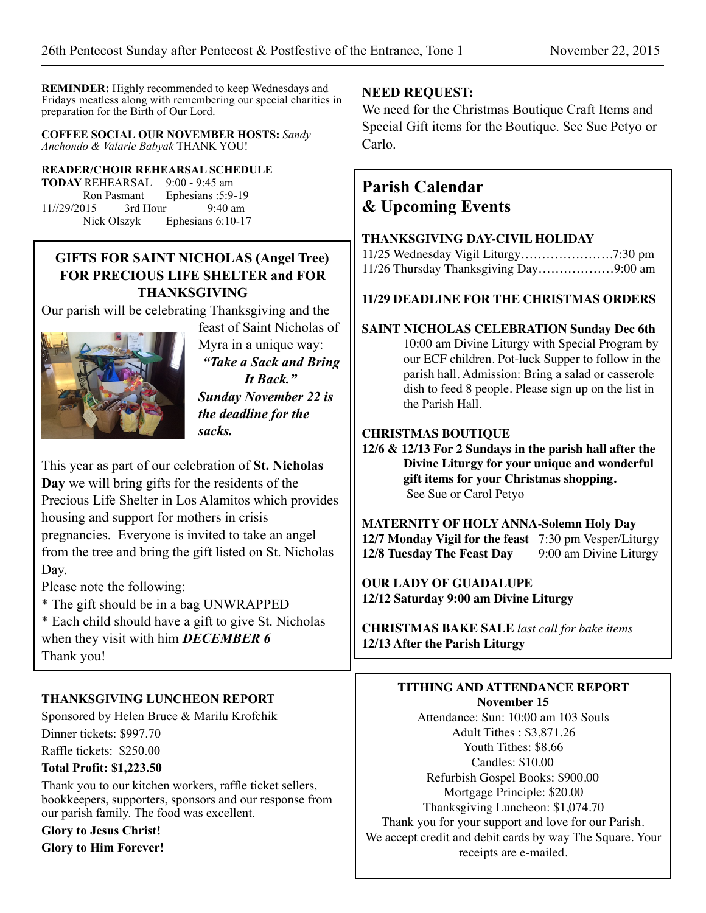**REMINDER:** Highly recommended to keep Wednesdays and Fridays meatless along with remembering our special charities in preparation for the Birth of Our Lord.

#### **COFFEE SOCIAL OUR NOVEMBER HOSTS:** *Sandy Anchondo & Valarie Babyak* THANK YOU!

#### **READER/CHOIR REHEARSAL SCHEDULE**

**TODAY** REHEARSAL 9:00 - 9:45 am Ron Pasmant Ephesians : 5:9-19<br>015 3rd Hour 9:40 am  $11$ //29/2015 Nick Olszyk Ephesians 6:10-17

### **GIFTS FOR SAINT NICHOLAS (Angel Tree) FOR PRECIOUS LIFE SHELTER and FOR THANKSGIVING**

Our parish will be celebrating Thanksgiving and the



feast of Saint Nicholas of Myra in a unique way: *"Take a Sack and Bring It Back." Sunday November 22 is the deadline for the* 

This year as part of our celebration of **St. Nicholas Day** we will bring gifts for the residents of the Precious Life Shelter in Los Alamitos which provides housing and support for mothers in crisis pregnancies. Everyone is invited to take an angel from the tree and bring the gift listed on St. Nicholas Day.

*sacks.*

Please note the following:

\* The gift should be in a bag UNWRAPPED

\* Each child should have a gift to give St. Nicholas when they visit with him *DECEMBER 6* Thank you!

#### **THANKSGIVING LUNCHEON REPORT**

Sponsored by Helen Bruce & Marilu Krofchik Dinner tickets: \$997.70 Raffle tickets: \$250.00

#### **Total Profit: \$1,223.50**

Thank you to our kitchen workers, raffle ticket sellers, bookkeepers, supporters, sponsors and our response from our parish family. The food was excellent.

**Glory to Jesus Christ! Glory to Him Forever!** 

#### **NEED REQUEST:**

We need for the Christmas Boutique Craft Items and Special Gift items for the Boutique. See Sue Petyo or Carlo.

## **Parish Calendar & Upcoming Events**

#### **THANKSGIVING DAY-CIVIL HOLIDAY**

| 11/26 Thursday Thanksgiving Day9:00 am |  |
|----------------------------------------|--|

#### **11/29 DEADLINE FOR THE CHRISTMAS ORDERS**

#### **SAINT NICHOLAS CELEBRATION Sunday Dec 6th**

10:00 am Divine Liturgy with Special Program by our ECF children. Pot-luck Supper to follow in the parish hall. Admission: Bring a salad or casserole dish to feed 8 people. Please sign up on the list in the Parish Hall.

#### **CHRISTMAS BOUTIQUE**

**12/6 & 12/13 For 2 Sundays in the parish hall after the Divine Liturgy for your unique and wonderful gift items for your Christmas shopping.** See Sue or Carol Petyo

**MATERNITY OF HOLY ANNA-Solemn Holy Day 12/7 Monday Vigil for the feast** 7:30 pm Vesper/Liturgy **12/8 Tuesday The Feast Day** 9:00 am Divine Liturgy

**OUR LADY OF GUADALUPE 12/12 Saturday 9:00 am Divine Liturgy**

**CHRISTMAS BAKE SALE** *last call for bake items* **12/13 After the Parish Liturgy**

#### **TITHING AND ATTENDANCE REPORT November 15**

Attendance: Sun: 10:00 am 103 Souls Adult Tithes : \$3,871.26 Youth Tithes: \$8.66 Candles: \$10.00 Refurbish Gospel Books: \$900.00 Mortgage Principle: \$20.00 Thanksgiving Luncheon: \$1,074.70 Thank you for your support and love for our Parish. We accept credit and debit cards by way The Square. Your receipts are e-mailed.